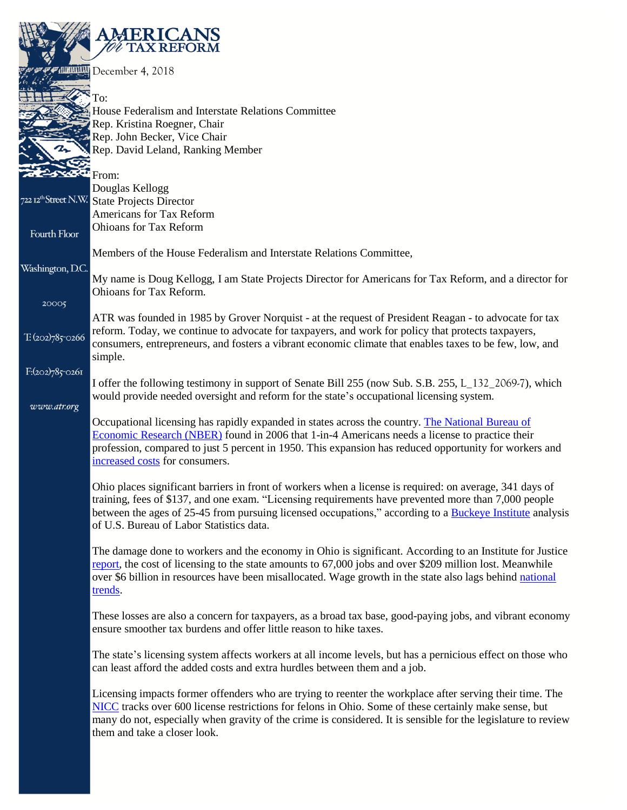|                     | <b>MERICANS</b><br><b>TAX REFORM</b>                                                                                                                                                                             |
|---------------------|------------------------------------------------------------------------------------------------------------------------------------------------------------------------------------------------------------------|
|                     | PALLELLE December 4, 2018                                                                                                                                                                                        |
|                     | To:                                                                                                                                                                                                              |
|                     | House Federalism and Interstate Relations Committee                                                                                                                                                              |
|                     | Rep. Kristina Roegner, Chair<br>Rep. John Becker, Vice Chair                                                                                                                                                     |
| 2.                  | Rep. David Leland, Ranking Member                                                                                                                                                                                |
|                     |                                                                                                                                                                                                                  |
|                     | From:<br>Douglas Kellogg                                                                                                                                                                                         |
|                     | 722 12 <sup>th</sup> Street N.W. State Projects Director                                                                                                                                                         |
|                     | Americans for Tax Reform                                                                                                                                                                                         |
| <b>Fourth Floor</b> | <b>Ohioans for Tax Reform</b>                                                                                                                                                                                    |
|                     | Members of the House Federalism and Interstate Relations Committee,                                                                                                                                              |
| Washington, D.C.    |                                                                                                                                                                                                                  |
|                     | My name is Doug Kellogg, I am State Projects Director for Americans for Tax Reform, and a director for<br>Ohioans for Tax Reform.                                                                                |
| 20005               |                                                                                                                                                                                                                  |
|                     | ATR was founded in 1985 by Grover Norquist - at the request of President Reagan - to advocate for tax                                                                                                            |
| $T:(202)785-0266$   | reform. Today, we continue to advocate for taxpayers, and work for policy that protects taxpayers,<br>consumers, entrepreneurs, and fosters a vibrant economic climate that enables taxes to be few, low, and    |
|                     | simple.                                                                                                                                                                                                          |
| $F:(202)785-0261$   |                                                                                                                                                                                                                  |
|                     | I offer the following testimony in support of Senate Bill 255 (now Sub. S.B. 255, L_132_2069-7), which<br>would provide needed oversight and reform for the state's occupational licensing system.               |
| www.atr.org         |                                                                                                                                                                                                                  |
|                     | Occupational licensing has rapidly expanded in states across the country. The National Bureau of                                                                                                                 |
|                     | Economic Research (NBER) found in 2006 that 1-in-4 Americans needs a license to practice their<br>profession, compared to just 5 percent in 1950. This expansion has reduced opportunity for workers and         |
|                     | increased costs for consumers.                                                                                                                                                                                   |
|                     |                                                                                                                                                                                                                  |
|                     | Ohio places significant barriers in front of workers when a license is required: on average, 341 days of<br>training, fees of \$137, and one exam. "Licensing requirements have prevented more than 7,000 people |
|                     | between the ages of 25-45 from pursuing licensed occupations," according to a Buckeye Institute analysis                                                                                                         |
|                     | of U.S. Bureau of Labor Statistics data.                                                                                                                                                                         |
|                     | The damage done to workers and the economy in Ohio is significant. According to an Institute for Justice                                                                                                         |
|                     | report, the cost of licensing to the state amounts to 67,000 jobs and over \$209 million lost. Meanwhile                                                                                                         |
|                     | over \$6 billion in resources have been misallocated. Wage growth in the state also lags behind national                                                                                                         |
|                     | trends.                                                                                                                                                                                                          |
|                     | These losses are also a concern for taxpayers, as a broad tax base, good-paying jobs, and vibrant economy                                                                                                        |
|                     | ensure smoother tax burdens and offer little reason to hike taxes.                                                                                                                                               |
|                     | The state's licensing system affects workers at all income levels, but has a pernicious effect on those who                                                                                                      |
|                     | can least afford the added costs and extra hurdles between them and a job.                                                                                                                                       |
|                     | Licensing impacts former offenders who are trying to reenter the workplace after serving their time. The                                                                                                         |
|                     | NICC tracks over 600 license restrictions for felons in Ohio. Some of these certainly make sense, but                                                                                                            |
|                     | many do not, especially when gravity of the crime is considered. It is sensible for the legislature to review                                                                                                    |
|                     | them and take a closer look.                                                                                                                                                                                     |
|                     |                                                                                                                                                                                                                  |
|                     |                                                                                                                                                                                                                  |
|                     |                                                                                                                                                                                                                  |